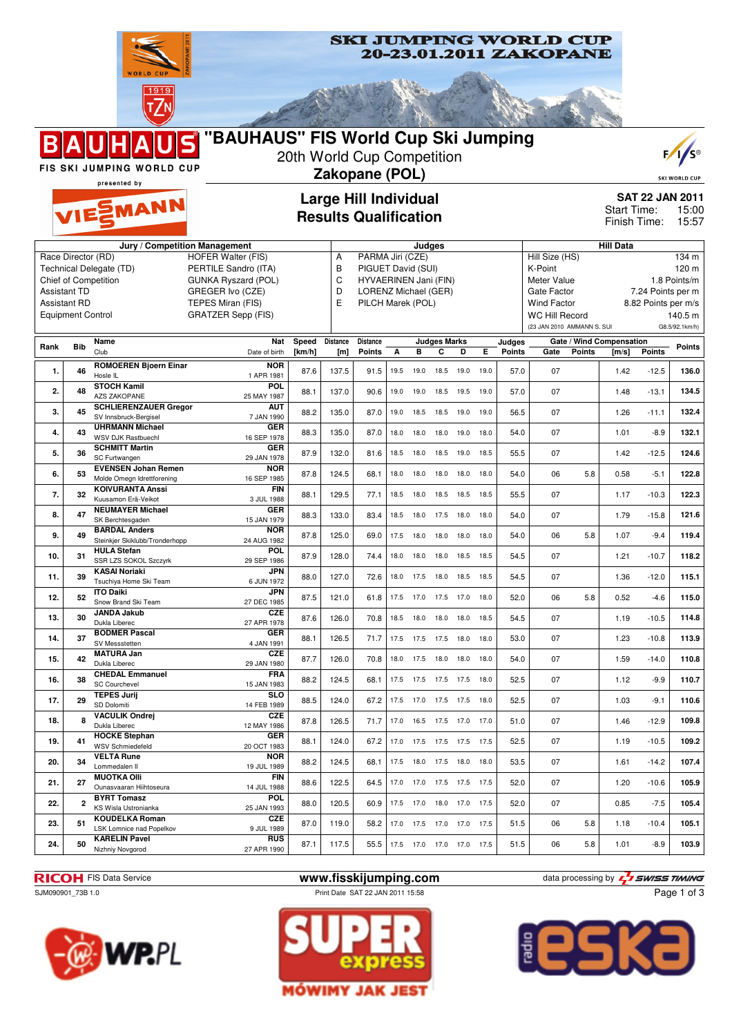

**SKI JUMPING WORLD CUP** 20-23.01.2011 ZAKOPANE

| 10. | 31 | <b>HULA Stefan</b>              | POL         | 87.9 | 128.0 | 74.4 | 18.0 | 18.0           | 18.0 | 18.5 | 18.5 | 54.5 | 07 |     | 1.21 | $-10.7$ | 118.2 |
|-----|----|---------------------------------|-------------|------|-------|------|------|----------------|------|------|------|------|----|-----|------|---------|-------|
|     |    | <b>SSR LZS SOKOL Szczvrk</b>    | 29 SEP 1986 |      |       |      |      |                |      |      |      |      |    |     |      |         |       |
| 11. | 39 | <b>KASAI Noriaki</b>            | <b>JPN</b>  | 88.0 | 127.0 | 72.6 | 18.0 | 17.5           | 18.0 | 18.5 | 18.5 | 54.5 | 07 |     | 1.36 | $-12.0$ | 115.1 |
|     |    | Tsuchiva Home Ski Team          | 6 JUN 1972  |      |       |      |      |                |      |      |      |      |    |     |      |         |       |
| 12. | 52 | <b>ITO Daiki</b>                | <b>JPN</b>  | 87.5 | 121.0 | 61.8 | 17.5 | 17.0 17.5      |      | 17.0 | 18.0 | 52.0 | 06 | 5.8 | 0.52 | $-4.6$  | 115.0 |
|     |    | Snow Brand Ski Team             | 27 DEC 1985 |      |       |      |      |                |      |      |      |      |    |     |      |         |       |
| 13. | 30 | <b>JANDA Jakub</b>              | <b>CZE</b>  | 87.6 | 126.0 | 70.8 | 18.5 | 18.0           | 18.0 | 18.0 | 18.5 | 54.5 | 07 |     | 1.19 | $-10.5$ | 114.8 |
|     |    | Dukla Liberec                   | 27 APR 1978 |      |       |      |      |                |      |      |      |      |    |     |      |         |       |
| 14. | 37 | <b>BODMER Pascal</b>            | <b>GER</b>  | 88.1 | 126.5 | 71.7 |      | 17.5 17.5 17.5 |      | 18.0 | 18.0 | 53.0 | 07 |     | 1.23 | $-10.8$ | 113.9 |
|     |    | SV Messstetten                  | 4 JAN 1991  |      |       |      |      |                |      |      |      |      |    |     |      |         |       |
| 15. | 42 | <b>MATURA Jan</b>               | <b>CZE</b>  | 87.7 | 126.0 | 70.8 |      | 18.0 17.5      | 18.0 | 18.0 | 18.0 | 54.0 | 07 |     | 1.59 | $-14.0$ | 110.8 |
|     |    | Dukla Liberec                   | 29 JAN 1980 |      |       |      |      |                |      |      |      |      |    |     |      |         |       |
| 16. | 38 | <b>CHEDAL Emmanuel</b>          | <b>FRA</b>  | 88.2 | 124.5 | 68.1 |      | 17.5 17.5      | 17.5 | 17.5 | 18.0 | 52.5 | 07 |     | 1.12 | $-9.9$  | 110.7 |
|     |    | <b>SC Courchevel</b>            | 15 JAN 1983 |      |       |      |      |                |      |      |      |      |    |     |      |         |       |
| 17. | 29 | <b>TEPES Jurii</b>              | <b>SLO</b>  | 88.5 | 124.0 | 67.2 | 17.5 | 17.0           | 17.5 | 17.5 | 18.0 | 52.5 | 07 |     | 1.03 | $-9.1$  | 110.6 |
|     |    | SD Dolomiti                     | 14 FEB 1989 |      |       |      |      |                |      |      |      |      |    |     |      |         |       |
| 18. |    | <b>VACULIK Ondrej</b>           | <b>CZE</b>  | 87.8 | 126.5 | 71.7 | 17.0 | 16.5           | 17.5 | 17.0 | 17.0 | 51.0 | 07 |     | 1.46 | $-12.9$ | 109.8 |
|     |    | Dukla Liberec                   | 12 MAY 1986 |      |       |      |      |                |      |      |      |      |    |     |      |         |       |
| 19. | 41 | <b>HOCKE Stephan</b>            | <b>GER</b>  | 88.1 | 124.0 | 67.2 | 17.0 | 17.5           | 17.5 | 17.5 | 17.5 | 52.5 | 07 |     | 1.19 | $-10.5$ | 109.2 |
|     |    | <b>WSV Schmiedefeld</b>         | 20 OCT 1983 |      |       |      |      |                |      |      |      |      |    |     |      |         |       |
| 20. | 34 | <b>VELTA Rune</b>               | <b>NOR</b>  | 88.2 | 124.5 | 68.1 | 17.5 | 18.0           | 17.5 | 18.0 | 18.0 | 53.5 | 07 |     | 1.61 | $-14.2$ | 107.4 |
|     |    | Lommedalen II                   | 19 JUL 1989 |      |       |      |      |                |      |      |      |      |    |     |      |         |       |
| 21. | 27 | <b>MUOTKA OIII</b>              | <b>FIN</b>  | 88.6 | 122.5 | 64.5 | 17.0 | 17.0           | 17.5 | 17.5 | 17.5 | 52.0 | 07 |     | 1.20 | $-10.6$ | 105.9 |
|     |    | Ounasvaaran Hiihtoseura         | 14 JUL 1988 |      |       |      |      |                |      |      |      |      |    |     |      |         |       |
| 22. |    | <b>BYRT Tomasz</b>              | POL         | 88.0 | 120.5 | 60.9 | 17.5 | 17.0           | 18.0 | 17.0 | 17.5 | 52.0 | 07 |     | 0.85 | $-7.5$  | 105.4 |
|     |    | KS Wisla Ustronianka            | 25 JAN 1993 |      |       |      |      |                |      |      |      |      |    |     |      |         |       |
| 23. | 51 | <b>KOUDELKA Roman</b>           | <b>CZE</b>  | 87.0 | 119.0 | 58.2 | 17.0 | 17.5           | 17.0 | 17.0 | 17.5 | 51.5 | 06 | 5.8 | 1.18 | $-10.4$ | 105.1 |
|     |    | <b>LSK Lomnice nad Popelkov</b> | 9 JUL 1989  |      |       |      |      |                |      |      |      |      |    |     |      |         |       |
|     | 50 | <b>KARELIN Pavel</b>            | <b>RUS</b>  | 87.1 | 117.5 | 55.5 | 17.5 | 17.0           | 17.0 | 17.0 | 17.5 | 51.5 | 06 | 5.8 | 1.01 | $-8.9$  | 103.9 |
| 24. |    | Nizhniy Novgorod                | 27 APR 1990 |      |       |      |      |                |      |      |      |      |    |     |      |         |       |

Β



SJM090901\_73B 1.0 **Print Date SAT 22 JAN 2011 15:58** 







Page 1 of 3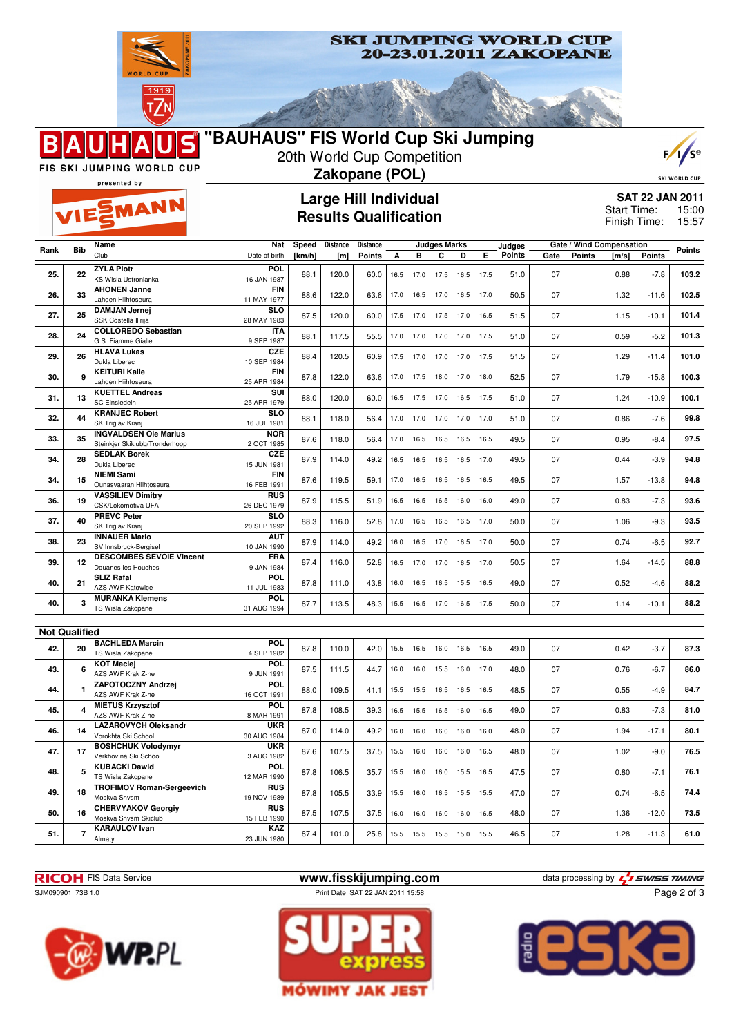

FIS SKI JUMPING WORLD CUP

B



20th World Cup Competition

|      |                      | <b>FIS SKI JUMPING WORLD CUP</b><br>presented by                   |                                         |        |          | Zakopane (POL)                                               |      |           |                              |                |      |        |      |        |                             |               | <b>SKI WORLD CUP</b>                     |
|------|----------------------|--------------------------------------------------------------------|-----------------------------------------|--------|----------|--------------------------------------------------------------|------|-----------|------------------------------|----------------|------|--------|------|--------|-----------------------------|---------------|------------------------------------------|
|      |                      | VIESMANN                                                           |                                         |        |          | <b>Large Hill Individual</b><br><b>Results Qualification</b> |      |           |                              |                |      |        |      |        | Start Time:<br>Finish Time: |               | <b>SAT 22 JAN 2011</b><br>15:00<br>15:57 |
| Rank | <b>Bib</b>           | Name                                                               | Nat                                     | Speed  | Distance | Distance                                                     |      |           | <b>Judges Marks</b>          |                |      | Judges |      |        | Gate / Wind Compensation    |               | Points                                   |
|      |                      | Club                                                               | Date of birth                           | [km/h] | [m]      | Points                                                       | A    | в         | С                            | D              | Е    | Points | Gate | Points | [m/s]                       | <b>Points</b> |                                          |
| 25.  | 22                   | <b>ZYLA Piotr</b><br>KS Wisla Ustronianka                          | <b>POL</b><br>16 JAN 1987               | 88.1   | 120.0    | 60.0                                                         | 16.5 | 17.0      | 17.5                         | 16.5           | 17.5 | 51.0   | 07   |        | 0.88                        | $-7.8$        | 103.2                                    |
| 26.  | 33                   | <b>AHONEN Janne</b><br>Lahden Hiihtoseura                          | <b>FIN</b><br>11 MAY 1977               | 88.6   | 122.0    | 63.6                                                         | 17.0 | 16.5      | 17.0 16.5                    |                | 17.0 | 50.5   | 07   |        | 1.32                        | $-11.6$       | 102.5                                    |
| 27.  | 25                   | <b>DAMJAN Jernei</b><br>SSK Costella Ilirija                       | <b>SLO</b><br>28 MAY 1983               | 87.5   | 120.0    | 60.0                                                         |      | 17.5 17.0 | 17.5 17.0                    |                | 16.5 | 51.5   | 07   |        | 1.15                        | $-10.1$       | 101.4                                    |
| 28.  | 24                   | <b>COLLOREDO Sebastian</b>                                         | IΤA                                     | 88.1   | 117.5    | 55.5                                                         |      |           | 17.0 17.0 17.0 17.0 17.5     |                |      | 51.0   | 07   |        | 0.59                        | $-5.2$        | 101.3                                    |
|      |                      | G.S. Fiamme Gialle<br><b>HLAVA Lukas</b>                           | 9 SEP 1987<br><b>CZE</b>                |        |          |                                                              |      |           |                              |                |      |        |      |        |                             |               |                                          |
| 29.  | 26                   | Dukla Liberec                                                      | 10 SEP 1984                             | 88.4   | 120.5    | 60.9                                                         | 17.5 | 17.0      | 17.0                         | 17.0           | 17.5 | 51.5   | 07   |        | 1.29                        | $-11.4$       | 101.0                                    |
| 30.  | 9                    | <b>KEITURI Kalle</b><br>Lahden Hiihtoseura                         | <b>FIN</b><br>25 APR 1984               | 87.8   | 122.0    | 63.6                                                         | 17.0 | 17.5      |                              | 18.0 17.0      | 18.0 | 52.5   | 07   |        | 1.79                        | $-15.8$       | 100.3                                    |
| 31.  | 13                   | <b>KUETTEL Andreas</b>                                             | SUI                                     | 88.0   | 120.0    | 60.0                                                         | 16.5 | 17.5      | 17.0 16.5 17.5               |                |      | 51.0   | 07   |        | 1.24                        | $-10.9$       | 100.1                                    |
|      |                      | <b>SC Einsiedeln</b><br><b>KRANJEC Robert</b>                      | 25 APR 1979<br><b>SLO</b>               |        |          |                                                              |      |           |                              |                |      |        |      |        |                             |               |                                          |
| 32.  | 44                   | SK Triglav Kranj                                                   | 16 JUL 1981                             | 88.1   | 118.0    | 56.4                                                         | 17.0 | 17.0      | 17.0 17.0 17.0               |                |      | 51.0   | 07   |        | 0.86                        | $-7.6$        | 99.8                                     |
| 33.  | 35                   | <b>INGVALDSEN Ole Marius</b><br>Steinkjer Skiklubb/Tronderhopp     | <b>NOR</b><br>2 OCT 1985                | 87.6   | 118.0    | 56.4                                                         |      |           | 17.0  16.5  16.5  16.5  16.5 |                |      | 49.5   | 07   |        | 0.95                        | $-8.4$        | 97.5                                     |
| 34.  | 28                   | <b>SEDLAK Borek</b><br>Dukla Liberec                               | CZE<br>15 JUN 1981                      | 87.9   | 114.0    | 49.2                                                         | 16.5 | 16.5      | 16.5                         | 16.5           | 17.0 | 49.5   | 07   |        | 0.44                        | $-3.9$        | 94.8                                     |
| 34.  | 15                   | <b>NIEMI Sami</b><br>Ounasvaaran Hiihtoseura                       | <b>FIN</b><br>16 FEB 1991               | 87.6   | 119.5    | 59.1                                                         | 17.0 | 16.5      |                              | 16.5 16.5 16.5 |      | 49.5   | 07   |        | 1.57                        | $-13.8$       | 94.8                                     |
| 36.  | 19                   | <b>VASSILIEV Dimitry</b><br>CSK/Lokomotiva UFA                     | <b>RUS</b><br>26 DEC 1979               | 87.9   | 115.5    | 51.9                                                         | 16.5 | 16.5      | 16.5                         | 16.0           | 16.0 | 49.0   | 07   |        | 0.83                        | $-7.3$        | 93.6                                     |
| 37.  | 40                   | <b>PREVC Peter</b><br>SK Triglav Kranj                             | <b>SLO</b><br>20 SEP 1992               | 88.3   | 116.0    | 52.8                                                         | 17.0 | 16.5      | 16.5 16.5 17.0               |                |      | 50.0   | 07   |        | 1.06                        | $-9.3$        | 93.5                                     |
| 38.  | 23                   | <b>INNAUER Mario</b><br>SV Innsbruck-Bergisel                      | AUT<br>10 JAN 1990                      | 87.9   | 114.0    | 49.2                                                         | 16.0 |           | 16.5 17.0 16.5 17.0          |                |      | 50.0   | 07   |        | 0.74                        | $-6.5$        | 92.7                                     |
| 39.  | 12                   | <b>DESCOMBES SEVOIE Vincent</b>                                    | FRA                                     | 87.4   | 116.0    | 52.8                                                         | 16.5 | 17.0      |                              | 17.0 16.5      | 17.0 | 50.5   | 07   |        | 1.64                        | $-14.5$       | 88.8                                     |
|      |                      | Douanes les Houches<br><b>SLIZ Rafal</b>                           | 9 JAN 1984<br><b>POL</b>                |        |          |                                                              |      |           |                              |                |      |        |      |        |                             |               |                                          |
| 40.  | 21                   | <b>AZS AWF Katowice</b>                                            | 11 JUL 1983                             | 87.8   | 111.0    | 43.8                                                         | 16.0 | 16.5      | 16.5 15.5 16.5               |                |      | 49.0   | 07   |        | 0.52                        | $-4.6$        | 88.2                                     |
| 40.  | 3                    | <b>MURANKA Klemens</b><br>TS Wisla Zakopane                        | <b>POL</b><br>31 AUG 1994               | 87.7   | 113.5    | 48.3                                                         |      |           | 15.5  16.5  17.0  16.5  17.5 |                |      | 50.0   | 07   |        | 1.14                        | $-10.1$       | 88.2                                     |
|      |                      |                                                                    |                                         |        |          |                                                              |      |           |                              |                |      |        |      |        |                             |               |                                          |
|      | <b>Not Qualified</b> | <b>BACHLEDA Marcin</b>                                             | <b>POL</b>                              |        |          |                                                              |      |           |                              |                |      |        |      |        |                             |               |                                          |
| 42.  | 20                   | TS Wisla Zakopane                                                  | 4 SEP 1982                              | 87.8   | 110.0    | 42.0                                                         | 15.5 | 16.5      | 16.0                         | 16.5 16.5      |      | 49.0   | 07   |        | 0.42                        | $-3.7$        | 87.3                                     |
| 43.  | 6                    | <b>KOT Maciej</b><br>AZS AWF Krak Z-ne                             | <b>POL</b><br>9 JUN 1991                | 87.5   | 111.5    | 44.7                                                         | 16.0 | 16.0      |                              | 15.5 16.0 17.0 |      | 48.0   | 07   |        | 0.76                        | $-6.7$        | 86.0                                     |
| 44.  | 1                    | <b>ZAPOTOCZNY Andrzej</b><br>AZS AWF Krak Z-ne                     | POL<br>16 OCT 1991                      | 88.0   | 109.5    | 41.1                                                         |      | 15.5 15.5 | 16.5 16.5 16.5               |                |      | 48.5   | 07   |        | 0.55                        | $-4.9$        | 84.7                                     |
| 45.  | 4                    | <b>MIETUS Krzysztof</b><br>AZS AWF Krak Z-ne                       | POL<br>8 MAR 1991                       | 87.8   | 108.5    | 39.3                                                         | 16.5 |           | 15.5 16.5 16.0               |                | 16.5 | 49.0   | 07   |        | 0.83                        | $-7.3$        | 81.0                                     |
| 46.  | 14                   | <b>LAZAROVYCH Oleksandr</b><br>Vorokhta Ski School                 | <b>UKR</b><br>30 AUG 1984               | 87.0   | 114.0    | 49.2                                                         |      |           | 16.0 16.0 16.0 16.0 16.0     |                |      | 48.0   | 07   |        | 1.94                        | $-17.1$       | 80.1                                     |
| 47.  | 17                   | <b>BOSHCHUK Volodymyr</b>                                          | <b>UKR</b>                              | 87.6   | 107.5    | 37.5                                                         |      |           | 15.5  16.0  16.0  16.0  16.5 |                |      | 48.0   | 07   |        | 1.02                        | $-9.0$        | 76.5                                     |
| 48.  | 5                    | Verkhovina Ski School<br><b>KUBACKI Dawid</b><br>TS Wisla Zakopane | 3 AUG 1982<br><b>POL</b><br>12 MAR 1990 | 87.8   | 106.5    | 35.7                                                         |      |           | 15.5  16.0  16.0  15.5  16.5 |                |      | 47.5   | 07   |        | 0.80                        | $-7.1$        | 76.1                                     |
|      |                      | <b>TROFIMOV Roman-Sergeevich</b>                                   | <b>RUS</b>                              |        |          |                                                              |      |           | 15.5  16.0  16.5  15.5  15.5 |                |      |        |      |        |                             |               |                                          |
| 49.  | 18                   | Moskva Shvsm<br><b>CHERVYAKOV Georgiy</b>                          | 19 NOV 1989<br><b>RUS</b>               | 87.8   | 105.5    | 33.9                                                         |      |           |                              |                |      | 47.0   | 07   |        | 0.74                        | $-6.5$        | 74.4                                     |
| 50.  | 16                   | Moskva Shvsm Skiclub                                               | 15 FEB 1990                             | 87.5   | 107.5    | 37.5                                                         |      |           | 16.0 16.0 16.0 16.0 16.5     |                |      | 48.0   | 07   |        | 1.36                        | $-12.0$       | 73.5                                     |
| 51.  | $\overline{7}$       | <b>KARAULOV</b> Ivan<br>Almaty                                     | KAZ<br>23 JUN 1980                      | 87.4   | 101.0    | 25.8                                                         |      |           | 15.5  15.5  15.5  15.0  15.5 |                |      | 46.5   | 07   |        | 1.28                        | $-11.3$       | 61.0                                     |

**RICOH** FIS Data Service **www.fisskijumping.com** data processing by  $\frac{7}{2}$  SWISS TIMING SJM090901\_73B 1.0 Print Date SAT 22 JAN 2011 15:58







 $F/1/5$